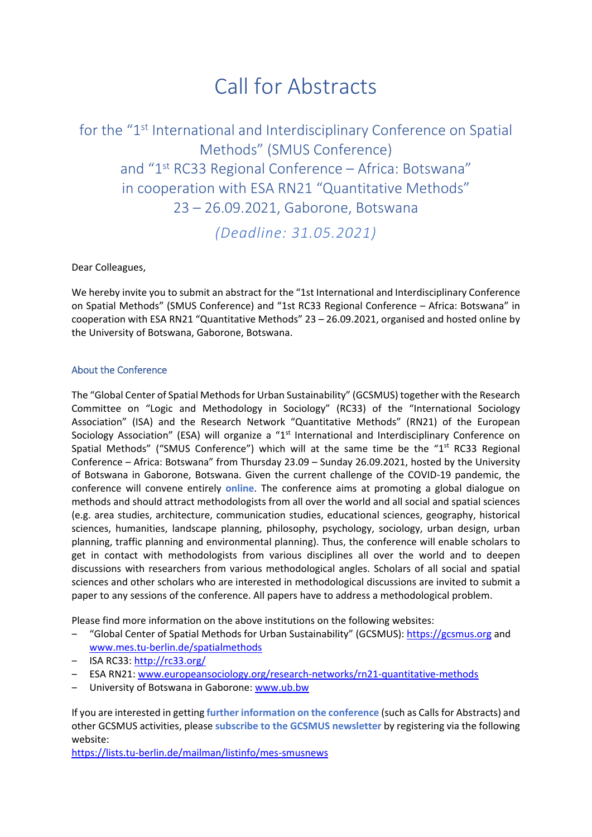# Call for Abstracts

for the "1st International and Interdisciplinary Conference on Spatial Methods" (SMUS Conference) and "1<sup>st</sup> RC33 Regional Conference - Africa: Botswana" in cooperation with ESA RN21 "Quantitative Methods" 23 – 26.09.2021, Gaborone, Botswana

*(Deadline: 31.05.2021)*

Dear Colleagues,

We hereby invite you to submit an abstract for the "1st International and Interdisciplinary Conference on Spatial Methods" (SMUS Conference) and "1st RC33 Regional Conference – Africa: Botswana" in cooperation with ESA RN21 "Quantitative Methods" 23 – 26.09.2021, organised and hosted online by the University of Botswana, Gaborone, Botswana.

## About the Conference

The "Global Center of Spatial Methods for Urban Sustainability" (GCSMUS) together with the Research Committee on "Logic and Methodology in Sociology" (RC33) of the "International Sociology Association" (ISA) and the Research Network "Quantitative Methods" (RN21) of the European Sociology Association" (ESA) will organize a "1<sup>st</sup> International and Interdisciplinary Conference on Spatial Methods" ("SMUS Conference") which will at the same time be the " $1<sup>st</sup>$  RC33 Regional Conference – Africa: Botswana" from Thursday 23.09 – Sunday 26.09.2021, hosted by the University of Botswana in Gaborone, Botswana. Given the current challenge of the COVID‐19 pandemic, the conference will convene entirely **online**. The conference aims at promoting a global dialogue on methods and should attract methodologists from all over the world and all social and spatial sciences (e.g. area studies, architecture, communication studies, educational sciences, geography, historical sciences, humanities, landscape planning, philosophy, psychology, sociology, urban design, urban planning, traffic planning and environmental planning). Thus, the conference will enable scholars to get in contact with methodologists from various disciplines all over the world and to deepen discussions with researchers from various methodological angles. Scholars of all social and spatial sciences and other scholars who are interested in methodological discussions are invited to submit a paper to any sessions of the conference. All papers have to address a methodological problem.

Please find more information on the above institutions on the following websites:

- ‒ "Global Center of Spatial Methods for Urban Sustainability" (GCSMUS): https://gcsmus.org and www.mes.tu‐berlin.de/spatialmethods
- $-$  ISA RC33: http://rc33.org/
- ‒ ESA RN21: www.europeansociology.org/research‐networks/rn21‐quantitative‐methods
- University of Botswana in Gaborone: www.ub.bw

If you are interested in getting **further information on the conference** (such as Calls for Abstracts) and other GCSMUS activities, please **subscribe to the GCSMUS newsletter** by registering via the following website:

https://lists.tu‐berlin.de/mailman/listinfo/mes‐smusnews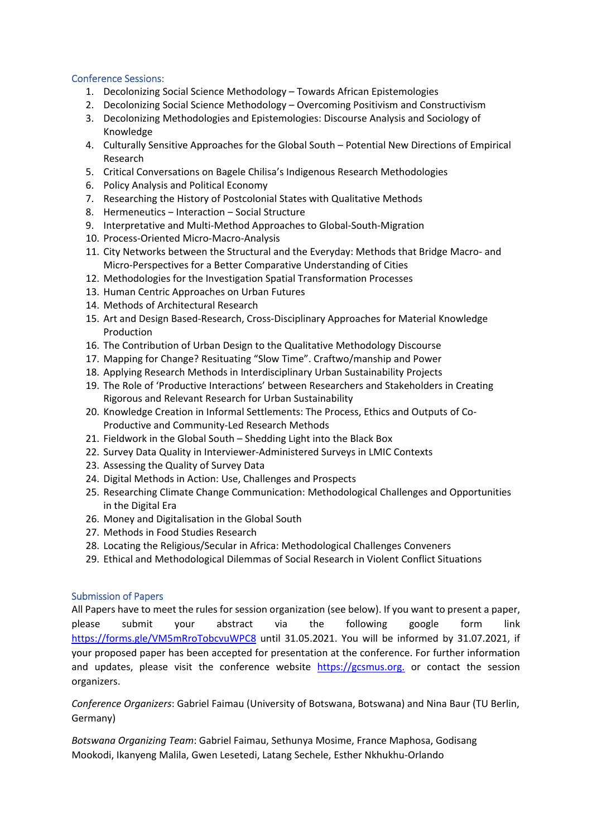### Conference Sessions:

- 1. Decolonizing Social Science Methodology Towards African Epistemologies
- 2. Decolonizing Social Science Methodology Overcoming Positivism and Constructivism
- 3. Decolonizing Methodologies and Epistemologies: Discourse Analysis and Sociology of Knowledge
- 4. Culturally Sensitive Approaches for the Global South Potential New Directions of Empirical Research
- 5. Critical Conversations on Bagele Chilisa's Indigenous Research Methodologies
- 6. Policy Analysis and Political Economy
- 7. Researching the History of Postcolonial States with Qualitative Methods
- 8. Hermeneutics Interaction Social Structure
- 9. Interpretative and Multi‐Method Approaches to Global‐South‐Migration
- 10. Process‐Oriented Micro‐Macro‐Analysis
- 11. City Networks between the Structural and the Everyday: Methods that Bridge Macro‐ and Micro‐Perspectives for a Better Comparative Understanding of Cities
- 12. Methodologies for the Investigation Spatial Transformation Processes
- 13. Human Centric Approaches on Urban Futures
- 14. Methods of Architectural Research
- 15. Art and Design Based‐Research, Cross‐Disciplinary Approaches for Material Knowledge Production
- 16. The Contribution of Urban Design to the Qualitative Methodology Discourse
- 17. Mapping for Change? Resituating "Slow Time". Craftwo/manship and Power
- 18. Applying Research Methods in Interdisciplinary Urban Sustainability Projects
- 19. The Role of 'Productive Interactions' between Researchers and Stakeholders in Creating Rigorous and Relevant Research for Urban Sustainability
- 20. Knowledge Creation in Informal Settlements: The Process, Ethics and Outputs of Co‐ Productive and Community‐Led Research Methods
- 21. Fieldwork in the Global South Shedding Light into the Black Box
- 22. Survey Data Quality in Interviewer‐Administered Surveys in LMIC Contexts
- 23. Assessing the Quality of Survey Data
- 24. Digital Methods in Action: Use, Challenges and Prospects
- 25. Researching Climate Change Communication: Methodological Challenges and Opportunities in the Digital Era
- 26. Money and Digitalisation in the Global South
- 27. Methods in Food Studies Research
- 28. Locating the Religious/Secular in Africa: Methodological Challenges Conveners
- 29. Ethical and Methodological Dilemmas of Social Research in Violent Conflict Situations

#### Submission of Papers

All Papers have to meet the rules for session organization (see below). If you want to present a paper, please submit your abstract via the following google form link https://forms.gle/VM5mRroTobcvuWPC8 until 31.05.2021. You will be informed by 31.07.2021, if your proposed paper has been accepted for presentation at the conference. For further information and updates, please visit the conference website https://gcsmus.org. or contact the session organizers.

*Conference Organizers*: Gabriel Faimau (University of Botswana, Botswana) and Nina Baur (TU Berlin, Germany)

*Botswana Organizing Team*: Gabriel Faimau, Sethunya Mosime, France Maphosa, Godisang Mookodi, Ikanyeng Malila, Gwen Lesetedi, Latang Sechele, Esther Nkhukhu‐Orlando